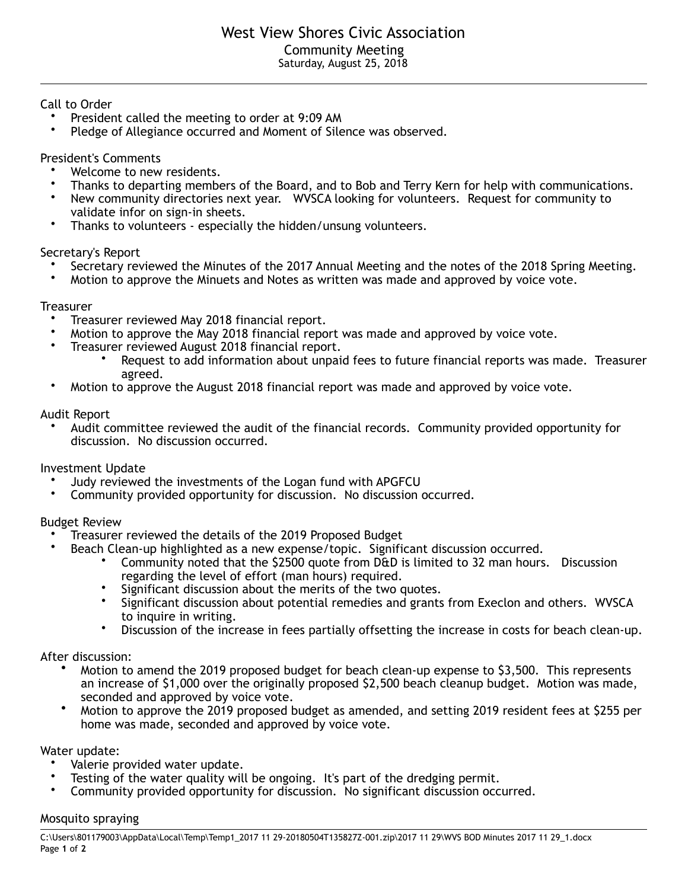Call to Order

- President called the meeting to order at 9:09 AM
- Pledge of Allegiance occurred and Moment of Silence was observed.

President's Comments

- Welcome to new residents.
- Thanks to departing members of the Board, and to Bob and Terry Kern for help with communications.<br>• Now community directories next year. MASCA leaking for volunteers. Bequest for community to
- New community directories next year. WVSCA looking for volunteers. Request for community to validate infor on sign-in sheets.
- Thanks to volunteers especially the hidden/unsung volunteers.

Secretary's Report

- Secretary reviewed the Minutes of the 2017 Annual Meeting and the notes of the 2018 Spring Meeting.<br>• Motion to approve the Minuets and Notes as written was made and approved by voice vote.
- Motion to approve the Minuets and Notes as written was made and approved by voice vote.

#### **Treasurer**

- Treasurer reviewed May 2018 financial report.
- Motion to approve the May 2018 financial report was made and approved by voice vote.<br>• Treasurer reviewed August 2018 financial report
- Treasurer reviewed August 2018 financial report.
	- Request to add information about unpaid fees to future financial reports was made. Treasurer agreed.
- Motion to approve the August 2018 financial report was made and approved by voice vote.

### Audit Report

• Audit committee reviewed the audit of the financial records. Community provided opportunity for discussion. No discussion occurred.

# Investment Update

- Judy reviewed the investments of the Logan fund with APGFCU<br>• Community provided opportunity for discussion. No discussion
- Community provided opportunity for discussion. No discussion occurred.

# Budget Review

- Treasurer reviewed the details of the 2019 Proposed Budget
	- Beach Clean-up highlighted as a new expense/topic. Significant discussion occurred.
		- Community noted that the \$2500 quote from D&D is limited to 32 man hours. Discussion regarding the level of effort (man hours) required.
		- Significant discussion about the merits of the two quotes.
		- Significant discussion about potential remedies and grants from Execlon and others. WVSCA to inquire in writing.
		- Discussion of the increase in fees partially offsetting the increase in costs for beach clean-up.

#### After discussion:

- Motion to amend the 2019 proposed budget for beach clean-up expense to \$3,500. This represents an increase of \$1,000 over the originally proposed \$2,500 beach cleanup budget. Motion was made, seconded and approved by voice vote.
- Motion to approve the 2019 proposed budget as amended, and setting 2019 resident fees at \$255 per home was made, seconded and approved by voice vote.

Water update:

- Valerie provided water update.
- Testing of the water quality will be ongoing. It's part of the dredging permit.<br>• Community provided opportunity for discussion. No significant discussion occ
- Community provided opportunity for discussion. No significant discussion occurred.

#### Mosquito spraying